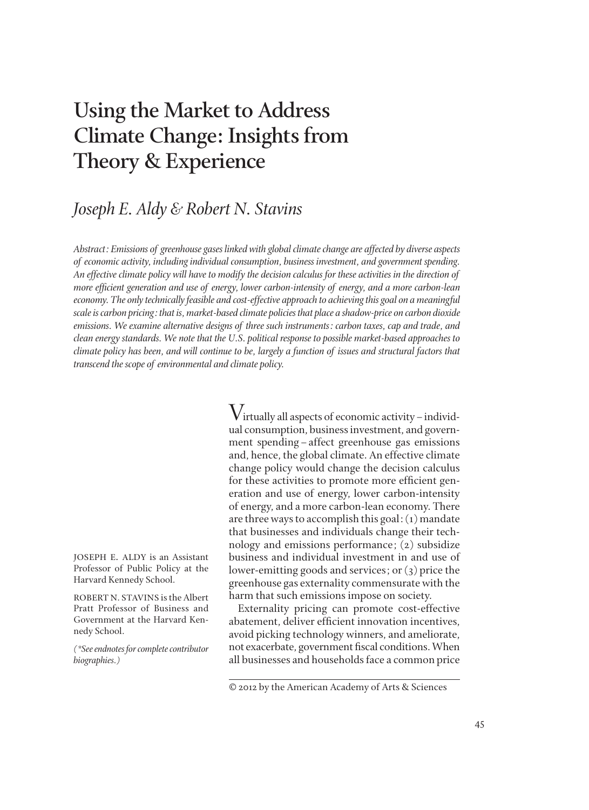## **Using the Market to Address Climate Change: Insights from Theory & Experience**

## *Joseph E. Aldy & Robert N. Stavins*

*Abstract: Emissions of greenhouse gases linked with global climate change are affected by diverse aspects of economic activity, including individual consumption, business investment, and government spending. An effective climate policy will have to modify the decision calculus for these activities in the direction of more efficient generation and use of energy, lower carbon-intensity of energy, and a more carbon-lean economy. The only technically feasible and cost-effective approach to achieving this goal on a meaningful scale is carbon pricing: that is, market-based climate policies that place a shadow-price on carbon dioxide emissions. We examine alternative designs of three such instruments: carbon taxes, cap and trade, and clean energy standards. We note that the U.S. political response to possible market-based approaches to climate policy has been, and will continue to be, largely a function of issues and structural factors that transcend the scope of environmental and climate policy.*

JOSEPH E. ALDY is an Assistant Professor of Public Policy at the Harvard Kennedy School.

ROBERT N. STAVINS is the Albert Pratt Professor of Business and Government at the Harvard Kennedy School.

*(\*See endnotes for complete contributor biographies.)*

 $\rm V$ irtually all aspects of economic activity – individual consumption, business investment, and government spending–affect greenhouse gas emissions and, hence, the global climate. An effective climate change policy would change the decision calculus for these activities to promote more efficient generation and use of energy, lower carbon-intensity of energy, and a more carbon-lean economy. There are three ways to accomplish this goal:  $(1)$  mandate that businesses and individuals change their technology and emissions performance; (2) subsidize business and individual investment in and use of lower-emitting goods and services; or (3) price the greenhouse gas externality commensurate with the harm that such emissions impose on society.

Externality pricing can promote cost-effective abatement, deliver efficient innovation incentives, avoid picking technology winners, and ameliorate, not exacerbate, government fiscal conditions. When all businesses and households face a common price

<sup>© 2012</sup> by the American Academy of Arts & Sciences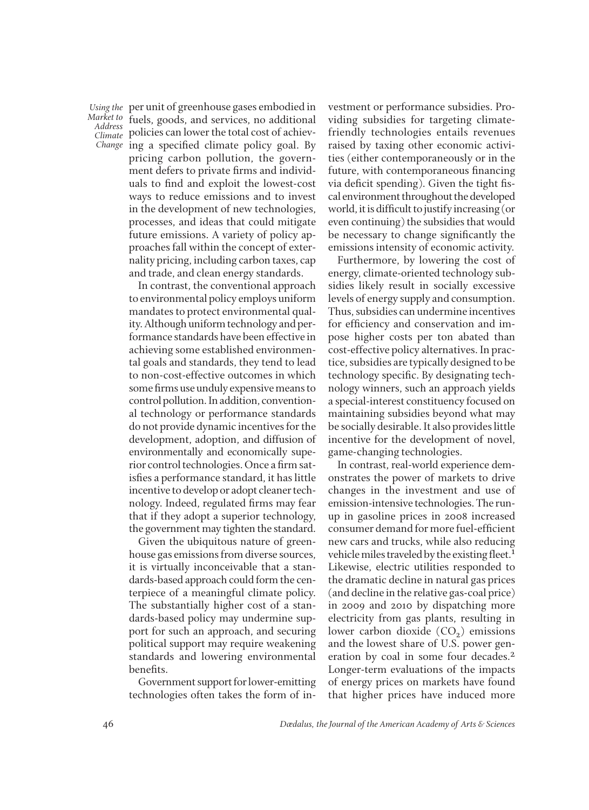*Market to Address Climate*

Using the per unit of greenhouse gases embodied in fuels, goods, and services, no additional policies can lower the total cost of achiev-Change ing a specified climate policy goal. By pricing carbon pollution, the government defers to private firms and individuals to find and exploit the lowest-cost ways to reduce emissions and to invest in the development of new technologies, processes, and ideas that could mitigate future emissions. A variety of policy approaches fall within the concept of externality pricing, including carbon taxes, cap and trade, and clean energy standards.

> In contrast, the conventional approach to environmental policy employs uniform mandates to protect environmental quality. Although uniform technology and performance standards have been effective in achieving some established environmental goals and standards, they tend to lead to non-cost-effective outcomes in which some firms use unduly expensive means to control pollution. In addition, conventional technology or performance standards do not provide dynamic incentives for the development, adoption, and diffusion of environmentally and economically superior control technologies. Once a firm satisfies a performance standard, it has little incentive to develop or adopt cleaner technology. Indeed, regulated firms may fear that if they adopt a superior technology, the government may tighten the standard.

> Given the ubiquitous nature of greenhouse gas emissions from diverse sources, it is virtually inconceivable that a standards-based approach could form the centerpiece of a meaningful climate policy. The substantially higher cost of a standards-based policy may undermine support for such an approach, and securing political support may require weakening standards and lowering environmental benefits.

> Government support for lower-emitting technologies often takes the form of in

vestment or performance subsidies. Providing subsidies for targeting climatefriendly technologies entails revenues raised by taxing other economic activities (either contemporaneously or in the future, with contemporaneous financing via deficit spending). Given the tight fiscal environment throughout the developed world, it is difficult to justify increasing (or even continuing) the subsidies that would be necessary to change significantly the emissions intensity of economic activity.

Furthermore, by lowering the cost of energy, climate-oriented technology subsidies likely result in socially excessive levels of energy supply and consumption. Thus, subsidies can undermine incentives for efficiency and conservation and impose higher costs per ton abated than cost-effective policy alternatives. In practice, subsidies are typically designed to be technology specific. By designating technology winners, such an approach yields a special-interest constituency focused on maintaining subsidies beyond what may be socially desirable. It also provides little incentive for the development of novel, game-changing technologies.

In contrast, real-world experience demonstrates the power of markets to drive changes in the investment and use of emission-intensive technologies. The runup in gasoline prices in 2008 increased consumer demand for more fuel-efficient new cars and trucks, while also reducing vehicle miles traveled by the existing fleet.<sup>1</sup> Likewise, electric utilities responded to the dramatic decline in natural gas prices (and decline in the relative gas-coal price) in 2009 and 2010 by dispatching more electricity from gas plants, resulting in lower carbon dioxide  $(CO<sub>2</sub>)$  emissions and the lowest share of U.S. power generation by coal in some four decades.<sup>2</sup> Longer-term evaluations of the impacts of energy prices on markets have found that higher prices have induced more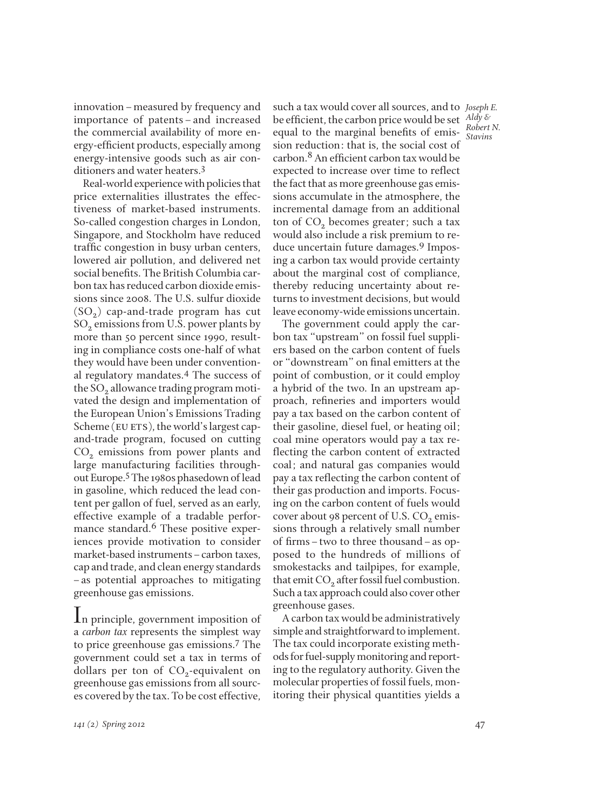innovation–measured by frequency and importance of patents–and increased the commercial availability of more energy-efficient products, especially among energy-intensive goods such as air conditioners and water heaters.3

Real-world experience with policies that price externalities illustrates the effectiveness of market-based instruments. So-called congestion charges in London, Singapore, and Stockholm have reduced traffic congestion in busy urban centers, lowered air pollution, and delivered net social benefits. The British Columbia carbon tax has reduced carbon dioxide emissions since 2008. The U.S. sulfur dioxide  $(SO<sub>2</sub>)$  cap-and-trade program has cut  $SO<sub>2</sub>$  emissions from U.S. power plants by more than 50 percent since 1990, resulting in compliance costs one-half of what they would have been under conventional regulatory mandates.4 The success of the SO<sub>2</sub> allowance trading program motivated the design and implementation of the European Union's Emissions Trading Scheme (EU ETS), the world's largest capand-trade program, focused on cutting  $CO<sub>2</sub>$  emissions from power plants and large manufacturing facilities throughout Europe.5The 1980s phasedown of lead in gasoline, which reduced the lead content per gallon of fuel, served as an early, effective example of a tradable performance standard.<sup>6</sup> These positive experiences provide motivation to consider market-based instruments–carbon taxes, cap and trade, and clean energy standards –as potential approaches to mitigating greenhouse gas emissions.

In principle, government imposition of a *carbon tax* represents the simplest way to price greenhouse gas emissions.7 The government could set a tax in terms of dollars per ton of  $CO<sub>2</sub>$ -equivalent on greenhouse gas emissions from all sources covered by the tax. To be cost effective,

such a tax would cover all sources, and to *Joseph E.*  be efficient, the carbon price would be set *Aldy &* equal to the marginal benefits of emis- *Robert N.* sion reduction: that is, the social cost of carbon.<sup>8</sup> An efficient carbon tax would be expected to increase over time to reflect the fact that as more greenhouse gas emissions accumulate in the atmosphere, the incremental damage from an additional ton of  $CO<sub>2</sub>$  becomes greater; such a tax would also include a risk premium to reduce uncertain future damages.9 Imposing a carbon tax would provide certainty about the marginal cost of compliance, thereby reducing uncertainty about returns to investment decisions, but would leave economy-wide emissions uncertain.

The government could apply the carbon tax "upstream" on fossil fuel suppliers based on the carbon content of fuels or "downstream" on final emitters at the point of combustion, or it could employ a hybrid of the two. In an upstream approach, refineries and importers would pay a tax based on the carbon content of their gasoline, diesel fuel, or heating oil; coal mine operators would pay a tax reflecting the carbon content of extracted coal; and natural gas companies would pay a tax reflecting the carbon content of their gas production and imports. Focusing on the carbon content of fuels would cover about 98 percent of U.S.  $CO<sub>2</sub>$  emissions through a relatively small number of firms–two to three thousand–as opposed to the hundreds of millions of smokestacks and tailpipes, for example, that emit  $CO<sub>2</sub>$  after fossil fuel combustion. Such a tax approach could also cover other greenhouse gases.

A carbon tax would be administratively simple and straightforward to implement. The tax could incorporate existing methods for fuel-supply monitoring and reporting to the regulatory authority. Given the molecular properties of fossil fuels, monitoring their physical quantities yields a

*Stavins*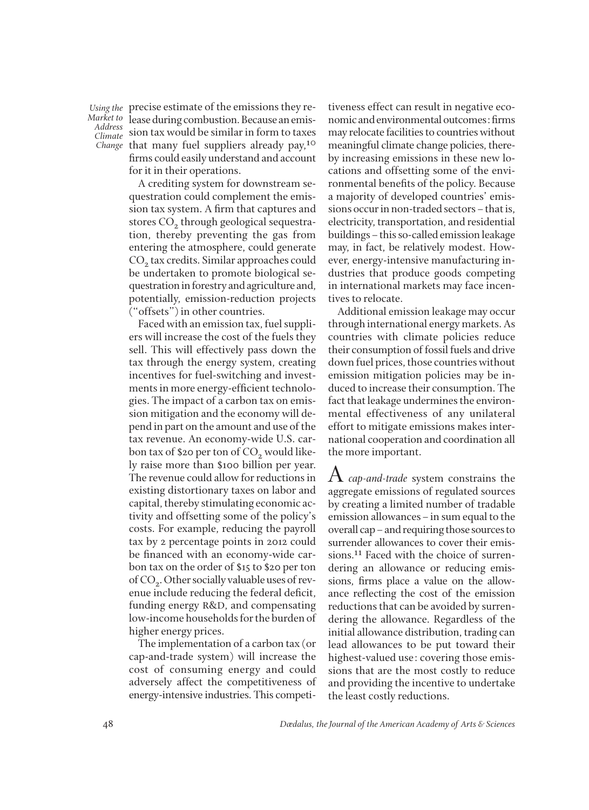*Market to Address*

Using the precise estimate of the emissions they release during combustion. Because an emission tax would be similar in form to taxes *Climate* that many fuel suppliers already pay,10 *Change* firms could easily understand and account for it in their operations.

> A crediting system for downstream sequestration could complement the emission tax system. A firm that captures and stores  $CO<sub>2</sub>$  through geological sequestration, thereby preventing the gas from entering the atmosphere, could generate CO<sub>2</sub> tax credits. Similar approaches could be undertaken to promote biological sequestration in forestry and agriculture and, potentially, emission-reduction projects ("offsets") in other countries.

> Faced with an emission tax, fuel suppliers will increase the cost of the fuels they sell. This will effectively pass down the tax through the energy system, creating incentives for fuel-switching and investments in more energy-efficient technologies. The impact of a carbon tax on emission mitigation and the economy will depend in part on the amount and use of the tax revenue. An economy-wide U.S. carbon tax of \$20 per ton of  $\mathrm{CO}_2$  would likely raise more than \$100 billion per year. The revenue could allow for reductions in existing distortionary taxes on labor and capital, thereby stimulating economic activity and offsetting some of the policy's costs. For example, reducing the payroll tax by 2 percentage points in 2012 could be financed with an economy-wide carbon tax on the order of \$15 to \$20 per ton of CO<sub>2</sub>. Other socially valuable uses of revenue include reducing the federal deficit, funding energy R&D, and compensating low-income households for the burden of higher energy prices.

> The implementation of a carbon tax (or cap-and-trade system) will increase the cost of consuming energy and could adversely affect the competitiveness of energy-intensive industries. This competi

tiveness effect can result in negative economic and environmental outcomes: firms may relocate facilities to countries without meaningful climate change policies, thereby increasing emissions in these new locations and offsetting some of the environmental benefits of the policy. Because a majority of developed countries' emissions occur in non-traded sectors–that is, electricity, transportation, and residential buildings–this so-called emission leakage may, in fact, be relatively modest. However, energy-intensive manufacturing industries that produce goods competing in international markets may face incentives to relocate.

Additional emission leakage may occur through international energy markets. As countries with climate policies reduce their consumption of fossil fuels and drive down fuel prices, those countries without emission mitigation policies may be induced to increase their consumption. The fact that leakage undermines the environmental effectiveness of any unilateral effort to mitigate emissions makes international cooperation and coordination all the more important.

A *cap-and-trade* system constrains the aggregate emissions of regulated sources by creating a limited number of tradable emission allowances–in sum equal to the overall cap–and requiring those sources to surrender allowances to cover their emissions.11 Faced with the choice of surrendering an allowance or reducing emissions, firms place a value on the allowance reflecting the cost of the emission reductions that can be avoided by surrendering the allowance. Regardless of the initial allowance distribution, trading can lead allowances to be put toward their highest-valued use: covering those emissions that are the most costly to reduce and providing the incentive to undertake the least costly reductions.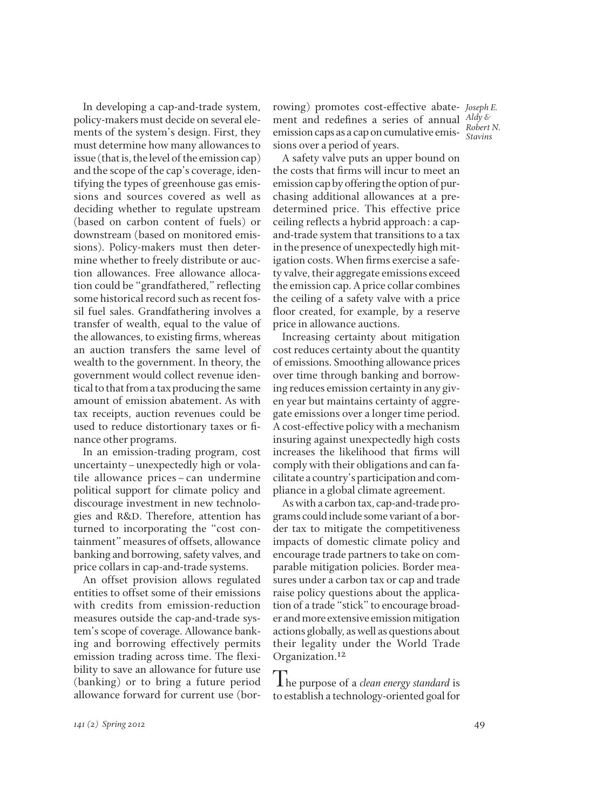In developing a cap-and-trade system, policy-makers must decide on several elements of the system's design. First, they must determine how many allowances to issue (that is, the level of the emission cap) and the scope of the cap's coverage, identifying the types of greenhouse gas emissions and sources covered as well as deciding whether to regulate upstream (based on carbon content of fuels) or downstream (based on monitored emissions). Policy-makers must then determine whether to freely distribute or auction allowances. Free allowance allocation could be "grandfathered," reflecting some historical record such as recent fossil fuel sales. Grandfathering involves a transfer of wealth, equal to the value of the allowances, to existing firms, whereas an auction transfers the same level of wealth to the government. In theory, the government would collect revenue identical to that from a tax producing the same amount of emission abatement. As with tax receipts, auction revenues could be used to reduce distortionary taxes or finance other programs.

In an emission-trading program, cost uncertainty–unexpectedly high or volatile allowance prices–can undermine political support for climate policy and discourage investment in new technologies and R&D. Therefore, attention has turned to incorporating the "cost containment" measures of offsets, allowance banking and borrowing, safety valves, and price collars in cap-and-trade systems.

An offset provision allows regulated entities to offset some of their emissions with credits from emission-reduction measures outside the cap-and-trade system's scope of coverage. Allowance banking and borrowing effectively permits emission trading across time. The flexibility to save an allowance for future use (banking) or to bring a future period allowance forward for current use (borrowing) promotes cost-effective abate-*Joseph E.*  ment and redefines a series of annual Aldy & emission caps as a cap on cumulative emis-*Robert N.*  sions over a period of years.

*Stavins*

A safety valve puts an upper bound on the costs that firms will incur to meet an emission cap by offering the option of purchasing additional allowances at a predetermined price. This effective price ceiling reflects a hybrid approach: a capand-trade system that transitions to a tax in the presence of unexpectedly high mitigation costs. When firms exercise a safety valve, their aggregate emissions exceed the emission cap. A price collar combines the ceiling of a safety valve with a price floor created, for example, by a reserve price in allowance auctions.

Increasing certainty about mitigation cost reduces certainty about the quantity of emissions. Smoothing allowance prices over time through banking and borrowing reduces emission certainty in any given year but maintains certainty of aggregate emissions over a longer time period. A cost-effective policy with a mechanism insuring against unexpectedly high costs increases the likelihood that firms will comply with their obligations and can facilitate a country's participation and compliance in a global climate agreement.

As with a carbon tax, cap-and-trade programs could include some variant of a border tax to mitigate the competitiveness impacts of domestic climate policy and encourage trade partners to take on comparable mitigation policies. Border measures under a carbon tax or cap and trade raise policy questions about the application of a trade "stick" to encourage broader and more extensive emission mitigation actions globally, as well as questions about their legality under the World Trade Organization.12

The purpose of a *clean energy standard* is to establish a technology-oriented goal for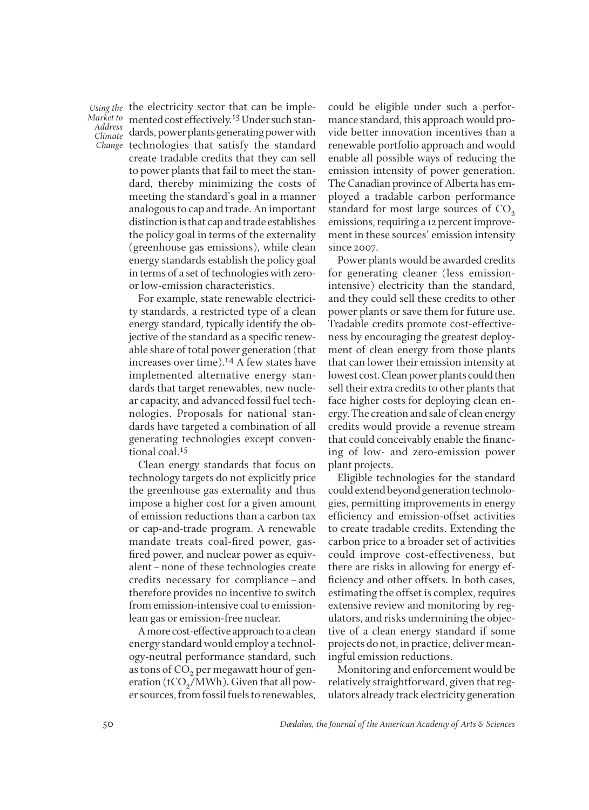*Climate*

Using the the electricity sector that can be implemented cost effectively.13Under such stan-*Market to* dards, power plants generating power with *Address* Change technologies that satisfy the standard create tradable credits that they can sell to power plants that fail to meet the standard, thereby minimizing the costs of meeting the standard's goal in a manner analogous to cap and trade. An important distinction is that cap and trade establishes the policy goal in terms of the externality (greenhouse gas emissions), while clean energy standards establish the policy goal in terms of a set of technologies with zeroor low-emission characteristics.

> For example, state renewable electricity standards, a restricted type of a clean energy standard, typically identify the objective of the standard as a specific renewable share of total power generation (that increases over time).14 A few states have implemented alternative energy standards that target renewables, new nuclear capacity, and advanced fossil fuel technologies. Proposals for national standards have targeted a combination of all generating technologies except conventional coal.15

> Clean energy standards that focus on technology targets do not explicitly price the greenhouse gas externality and thus impose a higher cost for a given amount of emission reductions than a carbon tax or cap-and-trade program. A renewable mandate treats coal-fired power, gasfired power, and nuclear power as equivalent–none of these technologies create credits necessary for compliance–and therefore provides no incentive to switch from emission-intensive coal to emissionlean gas or emission-free nuclear.

> A more cost-effective approach to a clean energy standard would employ a technology-neutral performance standard, such as tons of  $CO<sub>2</sub>$  per megawatt hour of generation (tCO<sub>2</sub>/MWh). Given that all power sources, from fossil fuels to renewables,

could be eligible under such a performance standard, this approach would provide better innovation incentives than a renewable portfolio approach and would enable all possible ways of reducing the emission intensity of power generation. The Canadian province of Alberta has employed a tradable carbon performance standard for most large sources of  $CO<sub>2</sub>$ emissions, requiring a 12 percent improvement in these sources' emission intensity since 2007.

Power plants would be awarded credits for generating cleaner (less emissionintensive) electricity than the standard, and they could sell these credits to other power plants or save them for future use. Tradable credits promote cost-effectiveness by encouraging the greatest deployment of clean energy from those plants that can lower their emission intensity at lowest cost. Clean power plants could then sell their extra credits to other plants that face higher costs for deploying clean energy. The creation and sale of clean energy credits would provide a revenue stream that could conceivably enable the financing of low- and zero-emission power plant projects.

Eligible technologies for the standard could extend beyond generation technologies, permitting improvements in energy efficiency and emission-offset activities to create tradable credits. Extending the carbon price to a broader set of activities could improve cost-effectiveness, but there are risks in allowing for energy ef ficiency and other offsets. In both cases, estimating the offset is complex, requires extensive review and monitoring by regulators, and risks undermining the objective of a clean energy standard if some projects do not, in practice, deliver meaningful emission reductions.

Monitoring and enforcement would be relatively straightforward, given that regulators already track electricity generation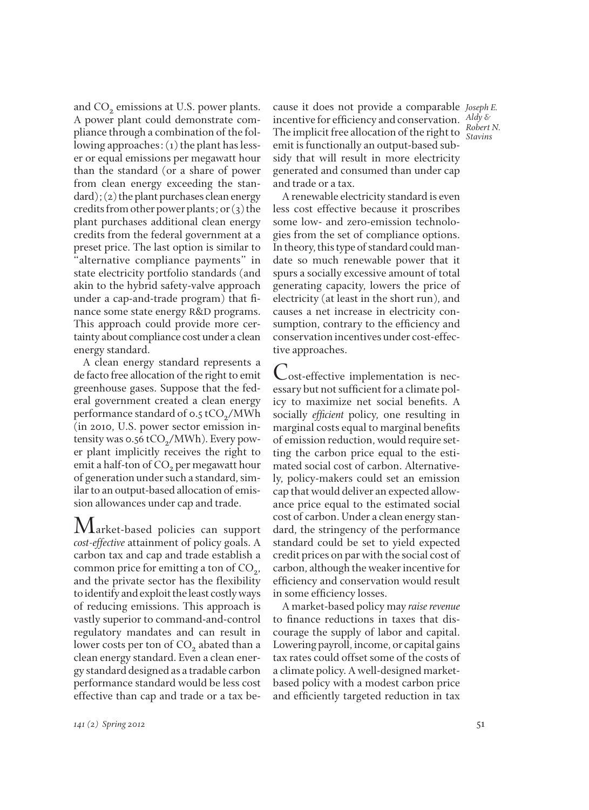and CO<sub>2</sub> emissions at U.S. power plants. A power plant could demonstrate compliance through a combination of the following approaches: (1) the plant has lesser or equal emissions per megawatt hour than the standard (or a share of power from clean energy exceeding the standard); (2) the plant purchases clean energy credits from other power plants; or  $(3)$  the plant purchases additional clean energy credits from the federal government at a preset price. The last option is similar to "alternative compliance payments" in state electricity portfolio standards (and akin to the hybrid safety-valve approach under a cap-and-trade program) that finance some state energy R&D programs. This approach could provide more certainty about compliance cost under a clean energy standard.

A clean energy standard represents a de facto free allocation of the right to emit greenhouse gases. Suppose that the federal government created a clean energy performance standard of  $o.5 \text{ tCO}_2/\text{MWh}$ (in 2010, U.S. power sector emission intensity was 0.56 tCO<sub>2</sub>/MWh). Every power plant implicitly receives the right to emit a half-ton of  $CO<sub>2</sub>$  per megawatt hour of generation under such a standard, similar to an output-based allocation of emission allowances under cap and trade.

 $M$ arket-based policies can support *cost-effective* attainment of policy goals. A carbon tax and cap and trade establish a common price for emitting a ton of  $CO<sub>2</sub>$ , and the private sector has the flexibility to identify and exploit the least costly ways of reducing emissions. This approach is vastly superior to command-and-control regulatory mandates and can result in lower costs per ton of  $CO<sub>2</sub>$  abated than a clean energy standard. Even a clean energy standard designed as a tradable carbon performance standard would be less cost effective than cap and trade or a tax because it does not provide a comparable *Joseph E.*  incentive for efficiency and conservation. Aldy & The implicit free allocation of the right to Robert N. emit is functionally an output-based subsidy that will result in more electricity generated and consumed than under cap and trade or a tax. *Stavins*

A renewable electricity standard is even less cost effective because it proscribes some low- and zero-emission technologies from the set of compliance options. In theory, this type of standard could mandate so much renewable power that it spurs a socially excessive amount of total generating capacity, lowers the price of electricity (at least in the short run), and causes a net increase in electricity consumption, contrary to the efficiency and conservation incentives under cost-effective approaches.

Cost-effective implementation is necessary but not sufficient for a climate policy to maximize net social benefits. A socially *efficient* policy, one resulting in marginal costs equal to marginal benefits of emission reduction, would require setting the carbon price equal to the estimated social cost of carbon. Alternatively, policy-makers could set an emission cap that would deliver an expected allowance price equal to the estimated social cost of carbon. Under a clean energy standard, the stringency of the performance standard could be set to yield expected credit prices on par with the social cost of carbon, although the weaker incentive for efficiency and conservation would result in some efficiency losses.

A market-based policy may *raise revenue* to finance reductions in taxes that discourage the supply of labor and capital. Lowering payroll, income, or capital gains tax rates could offset some of the costs of a climate policy. A well-designed marketbased policy with a modest carbon price and efficiently targeted reduction in tax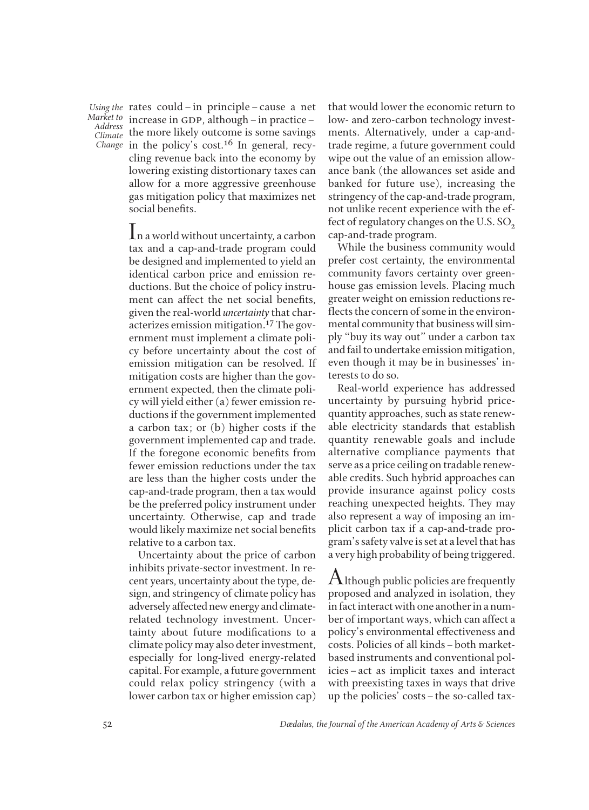*Climate*

Using the rates could-in principle-cause a net Market to increase in GDP, although – in practice – the more likely outcome is some savings *Address* in the policy's cost.16 In general, recy-*Change* cling revenue back into the economy by lowering existing distortionary taxes can allow for a more aggressive greenhouse gas mitigation policy that maximizes net social benefits.

> In a world without uncertainty, a carbon tax and a cap-and-trade program could be designed and implemented to yield an identical carbon price and emission reductions. But the choice of policy instrument can affect the net social benefits, given the real-world *uncertainty*that characterizes emission mitigation.17 The government must implement a climate policy before uncertainty about the cost of emission mitigation can be resolved. If mitigation costs are higher than the government expected, then the climate policy will yield either (a) fewer emission reductions if the government implemented a carbon tax; or (b) higher costs if the government implemented cap and trade. If the foregone economic benefits from fewer emission reductions under the tax are less than the higher costs under the cap-and-trade program, then a tax would be the preferred policy instrument under uncertainty. Otherwise, cap and trade would likely maximize net social benefits relative to a carbon tax.

> Uncertainty about the price of carbon inhibits private-sector investment. In recent years, uncertainty about the type, design, and stringency of climate policy has adversely affected new energy and climaterelated technology investment. Uncertainty about future modifications to a climate policy may also deter investment, especially for long-lived energy-related capital. For example, a future government could relax policy stringency (with a lower carbon tax or higher emission cap)

that would lower the economic return to low- and zero-carbon technology investments. Alternatively, under a cap-andtrade regime, a future government could wipe out the value of an emission allowance bank (the allowances set aside and banked for future use), increasing the stringency of the cap-and-trade program, not unlike recent experience with the effect of regulatory changes on the U.S.  $SO<sub>2</sub>$ cap-and-trade program.

While the business community would prefer cost certainty, the environmental community favors certainty over greenhouse gas emission levels. Placing much greater weight on emission reductions reflects the concern of some in the environmental community that business will simply "buy its way out" under a carbon tax and fail to undertake emission mitigation, even though it may be in businesses' interests to do so.

Real-world experience has addressed uncertainty by pursuing hybrid pricequantity approaches, such as state renewable electricity standards that establish quantity renewable goals and include alternative compliance payments that serve as a price ceiling on tradable renewable credits. Such hybrid approaches can provide insurance against policy costs reaching unexpected heights. They may also represent a way of imposing an implicit carbon tax if a cap-and-trade program's safety valve is set at a level that has a very high probability of being triggered.

 $A$ lthough public policies are frequently proposed and analyzed in isolation, they in fact interact with one another in a number of important ways, which can affect a policy's environmental effectiveness and costs. Policies of all kinds–both marketbased instruments and conventional policies–act as implicit taxes and interact with preexisting taxes in ways that drive up the policies' costs–the so-called tax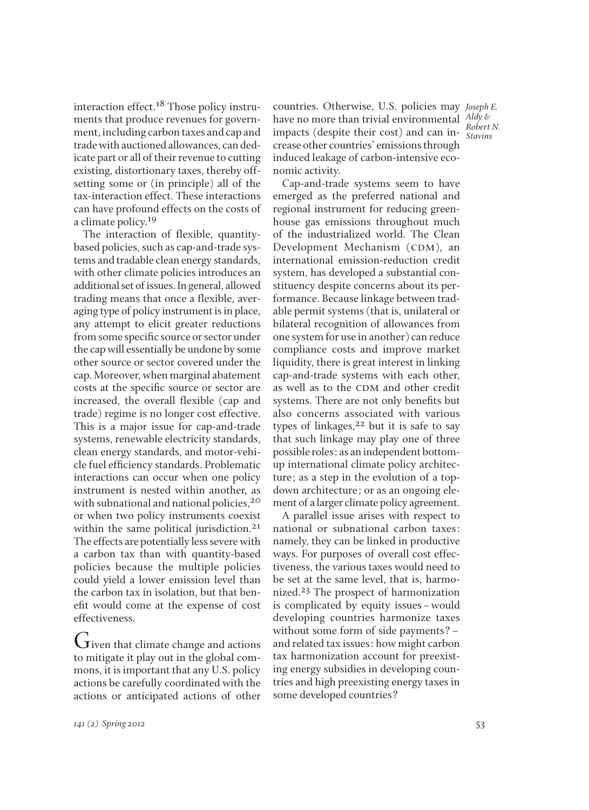interaction effect.18 Those policy instruments that produce revenues for government, including carbon taxes and cap and trade with auctioned allowances, can dedicate part or all of their revenue to cutting existing, distortionary taxes, thereby offsetting some or (in principle) all of the tax-interaction effect. These interactions can have profound effects on the costs of a climate policy.19

The interaction of flexible, quantitybased policies, such as cap-and-trade systems and tradable clean energy standards, with other climate policies introduces an additional set of issues. In general, allowed trading means that once a flexible, averaging type of policy instrument is in place, any attempt to elicit greater reductions from some specific source or sector under the cap will essentially be undone by some other source or sector covered under the cap. Moreover, when marginal abatement costs at the specific source or sector are increased, the overall flexible (cap and trade) regime is no longer cost effective. This is a major issue for cap-and-trade systems, renewable electricity standards, clean energy standards, and motor-vehicle fuel efficiency standards. Problematic interactions can occur when one policy instrument is nested within another, as with subnational and national policies,<sup>20</sup> or when two policy instruments coexist within the same political jurisdiction.<sup>21</sup> The effects are potentially less severe with a carbon tax than with quantity-based policies because the multiple policies could yield a lower emission level than the carbon tax in isolation, but that benefit would come at the expense of cost effectiveness.

 $G$ iven that climate change and actions to mitigate it play out in the global commons, it is important that any U.S. policy actions be carefully coordinated with the actions or anticipated actions of other countries. Otherwise, U.S. policies may *Joseph E.*  have no more than trivial environmental *Aldy &*  impacts (despite their cost) and can increase other countries' emissions through induced leakage of carbon-intensive economic activity.

Cap-and-trade systems seem to have emerged as the preferred national and regional instrument for reducing greenhouse gas emissions throughout much of the industrialized world. The Clean Development Mechanism (CDM), an international emission-reduction credit system, has developed a substantial constituency despite concerns about its performance. Because linkage between tradable permit systems (that is, unilateral or bilateral recognition of allowances from one system for use in another) can reduce compliance costs and improve market liquidity, there is great interest in linking cap-and-trade systems with each other, as well as to the CDM and other credit systems. There are not only benefits but also concerns associated with various types of linkages, $22$  but it is safe to say that such linkage may play one of three possible roles: as an independent bottomup international climate policy architecture; as a step in the evolution of a topdown architecture; or as an ongoing element of a larger climate policy agreement.

A parallel issue arises with respect to national or subnational carbon taxes: namely, they can be linked in productive ways. For purposes of overall cost effectiveness, the various taxes would need to be set at the same level, that is, harmonized.23 The prospect of harmonization is complicated by equity issues–would developing countries harmonize taxes without some form of side payments?– and related tax issues: how might carbon tax harmonization account for preexisting energy subsidies in developing countries and high preexisting energy taxes in some developed countries?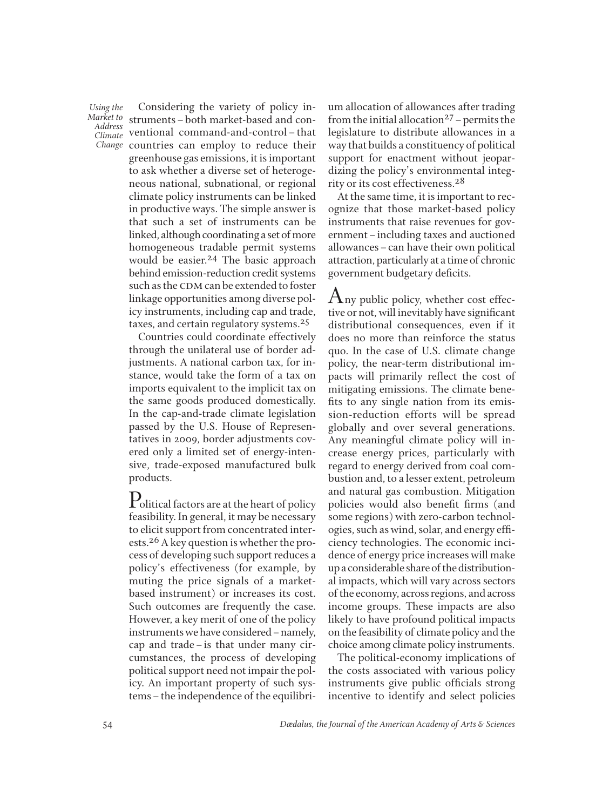*Using the Market to Address Climate*

Considering the variety of policy instruments–both market-based and conventional command-and-control–that Change countries can employ to reduce their greenhouse gas emissions, it is important to ask whether a diverse set of heterogeneous national, subnational, or regional climate policy instruments can be linked in productive ways. The simple answer is that such a set of instruments can be linked, although coordinating a set of more homogeneous tradable permit systems would be easier.<sup>24</sup> The basic approach behind emission-reduction credit systems such as the CDM can be extended to foster linkage opportunities among diverse policy instruments, including cap and trade, taxes, and certain regulatory systems.25

> Countries could coordinate effectively through the unilateral use of border adjustments. A national carbon tax, for instance, would take the form of a tax on imports equivalent to the implicit tax on the same goods produced domestically. In the cap-and-trade climate legislation passed by the U.S. House of Representatives in 2009, border adjustments covered only a limited set of energy-intensive, trade-exposed manufactured bulk products.

> $\mathbf{P}_{\text{olritical factors are at the heart of policy}}$ feasibility. In general, it may be necessary to elicit support from concentrated interests.<sup>26</sup> A key question is whether the process of developing such support reduces a policy's effectiveness (for example, by muting the price signals of a marketbased instrument) or increases its cost. Such outcomes are frequently the case. However, a key merit of one of the policy instruments we have considered–namely, cap and trade–is that under many circumstances, the process of developing political support need not impair the policy. An important property of such systems–the independence of the equilibri

um allocation of allowances after trading from the initial allocation<sup>27</sup> – permits the legislature to distribute allowances in a way that builds a constituency of political support for enactment without jeopardizing the policy's environmental integrity or its cost effectiveness.28

At the same time, it is important to recognize that those market-based policy instruments that raise revenues for government–including taxes and auctioned allowances–can have their own political attraction, particularly at a time of chronic government budgetary deficits.

 $A$ ny public policy, whether cost effective or not, will inevitably have significant distributional consequences, even if it does no more than reinforce the status quo. In the case of U.S. climate change policy, the near-term distributional impacts will primarily reflect the cost of mitigating emissions. The climate bene fits to any single nation from its emission-reduction efforts will be spread globally and over several generations. Any meaningful climate policy will increase energy prices, particularly with regard to energy derived from coal combustion and, to a lesser extent, petroleum and natural gas combustion. Mitigation policies would also benefit firms (and some regions) with zero-carbon technologies, such as wind, solar, and energy efficiency technologies. The economic incidence of energy price increases will make up a considerable share of the distributional impacts, which will vary across sectors of the economy, across regions, and across income groups. These impacts are also likely to have profound political impacts on the feasibility of climate policy and the choice among climate policy instruments.

The political-economy implications of the costs associated with various policy instruments give public officials strong incentive to identify and select policies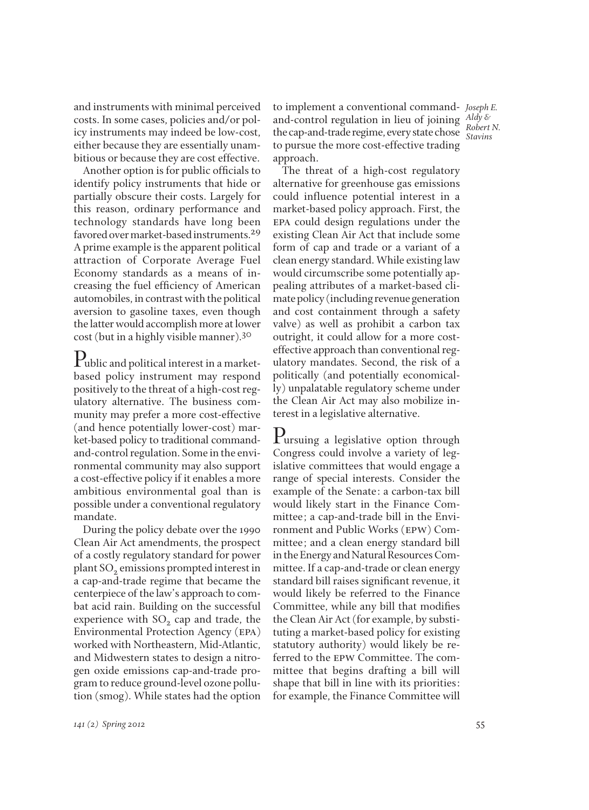and instruments with minimal perceived costs. In some cases, policies and/or policy instruments may indeed be low-cost, either because they are essentially unambitious or because they are cost effective.

Another option is for public officials to identify policy instruments that hide or partially obscure their costs. Largely for this reason, ordinary performance and technology standards have long been favored over market-based instruments.29 A prime example is the apparent political attraction of Corporate Average Fuel Economy standards as a means of increasing the fuel efficiency of American automobiles, in contrast with the political aversion to gasoline taxes, even though the latter would accomplish more at lower cost (but in a highly visible manner).30

 $\rm P_{\rm{ublic}}$  and political interest in a marketbased policy instrument may respond positively to the threat of a high-cost regulatory alternative. The business community may prefer a more cost-effective (and hence potentially lower-cost) market-based policy to traditional commandand-control regulation. Some in the environmental community may also support a cost-effective policy if it enables a more ambitious environmental goal than is possible under a conventional regulatory mandate.

During the policy debate over the 1990 Clean Air Act amendments, the prospect of a costly regulatory standard for power plant  $SO_2$  emissions prompted interest in a cap-and-trade regime that became the centerpiece of the law's approach to combat acid rain. Building on the successful experience with  $SO<sub>2</sub>$  cap and trade, the Environmental Protection Agency (epa) worked with Northeastern, Mid-Atlantic, and Midwestern states to design a nitrogen oxide emissions cap-and-trade program to reduce ground-level ozone pollution (smog). While states had the option to implement a conventional command-*Joseph E.*  and-control regulation in lieu of joining *Aldy &*  the cap-and-trade regime, every state chose *Robert N.*  to pursue the more cost-effective trading approach.

*Stavins*

The threat of a high-cost regulatory alternative for greenhouse gas emissions could influence potential interest in a market-based policy approach. First, the epa could design regulations under the existing Clean Air Act that include some form of cap and trade or a variant of a clean energy standard. While existing law would circumscribe some potentially appealing attributes of a market-based climate policy (including revenue generation and cost containment through a safety valve) as well as prohibit a carbon tax outright, it could allow for a more costeffective approach than conventional regulatory mandates. Second, the risk of a politically (and potentially economically) unpalatable regulatory scheme under the Clean Air Act may also mobilize interest in a legislative alternative.

Pursuing a legislative option through Congress could involve a variety of legislative committees that would engage a range of special interests. Consider the example of the Senate: a carbon-tax bill would likely start in the Finance Committee; a cap-and-trade bill in the Environment and Public Works (epw) Committee; and a clean energy standard bill in the Energy and Natural Resources Committee. If a cap-and-trade or clean energy standard bill raises significant revenue, it would likely be referred to the Finance Committee, while any bill that modifies the Clean Air Act (for example, by substituting a market-based policy for existing statutory authority) would likely be referred to the epw Committee. The committee that begins drafting a bill will shape that bill in line with its priorities: for example, the Finance Committee will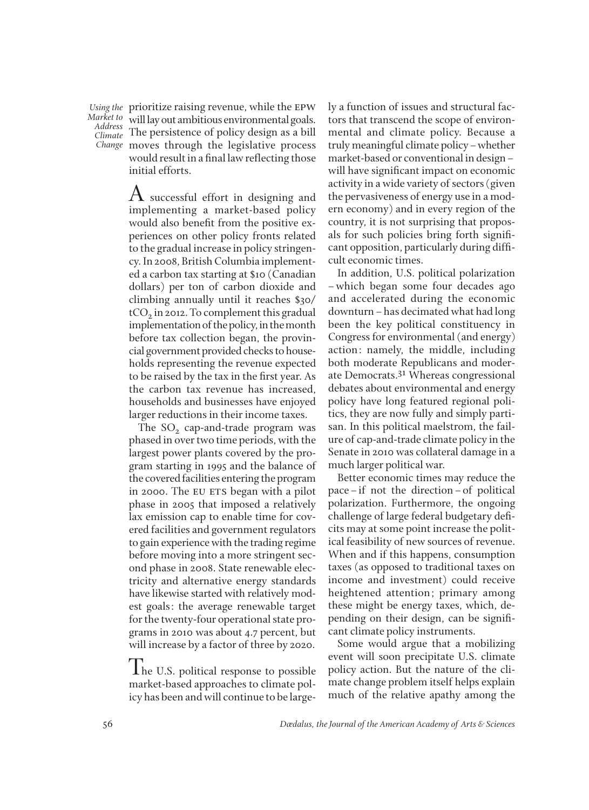*Climate*

Using the prioritize raising revenue, while the EPW will lay out ambitious environmental goals. *Market to* The persistence of policy design as a bill *Address* moves through the legislative process *Change* would result in a final law reflecting those initial efforts.

> $A$  successful effort in designing and implementing a market-based policy would also benefit from the positive experiences on other policy fronts related to the gradual increase in policy stringency. In 2008, British Columbia implemented a carbon tax starting at \$10 (Canadian dollars) per ton of carbon dioxide and climbing annually until it reaches \$30/  $tCO<sub>2</sub>$  in 2012. To complement this gradual implementation of the policy, in the month before tax collection began, the provincial government provided checks to households representing the revenue expected to be raised by the tax in the first year. As the carbon tax revenue has increased, households and businesses have enjoyed larger reductions in their income taxes.

> The  $SO<sub>2</sub>$  cap-and-trade program was phased in over two time periods, with the largest power plants covered by the program starting in 1995 and the balance of the covered facilities entering the program in 2000. The EU ETS began with a pilot phase in 2005 that imposed a relatively lax emission cap to enable time for covered facilities and government regulators to gain experience with the trading regime before moving into a more stringent second phase in 2008. State renewable electricity and alternative energy standards have likewise started with relatively modest goals: the average renewable target for the twenty-four operational state programs in 2010 was about 4.7 percent, but will increase by a factor of three by 2020.

> The U.S. political response to possible market-based approaches to climate policy has been and will continue to be large

ly a function of issues and structural factors that transcend the scope of environmental and climate policy. Because a truly meaningful climate policy–whether market-based or conventional in design– will have significant impact on economic activity in a wide variety of sectors (given the pervasiveness of energy use in a modern economy) and in every region of the country, it is not surprising that proposals for such policies bring forth significant opposition, particularly during difficult economic times.

In addition, U.S. political polarization –which began some four decades ago and accelerated during the economic downturn–has decimated what had long been the key political constituency in Congress for environmental (and energy) action: namely, the middle, including both moderate Republicans and moderate Democrats.31 Whereas congressional debates about environmental and energy policy have long featured regional politics, they are now fully and simply partisan. In this political maelstrom, the failure of cap-and-trade climate policy in the Senate in 2010 was collateral damage in a much larger political war.

Better economic times may reduce the pace–if not the direction–of political polarization. Furthermore, the ongoing challenge of large federal budgetary deficits may at some point increase the political feasibility of new sources of revenue. When and if this happens, consumption taxes (as opposed to traditional taxes on income and investment) could receive heightened attention; primary among these might be energy taxes, which, depending on their design, can be significant climate policy instruments.

Some would argue that a mobilizing event will soon precipitate U.S. climate policy action. But the nature of the climate change problem itself helps explain much of the relative apathy among the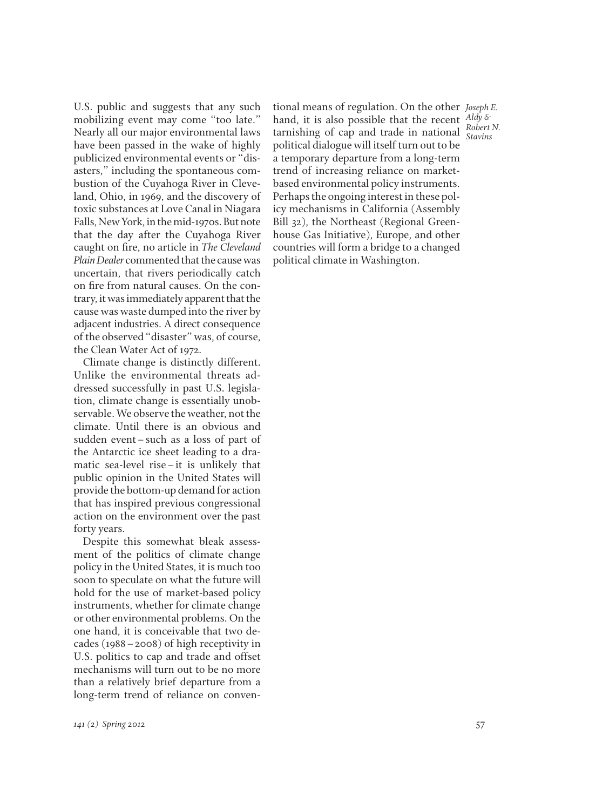U.S. public and suggests that any such mobilizing event may come "too late." Nearly all our major environmental laws have been passed in the wake of highly publicized environmental events or "disasters," including the spontaneous combustion of the Cuyahoga River in Cleveland, Ohio, in 1969, and the discovery of toxic substances at Love Canal in Niagara Falls, New York, in the mid-1970s. But note that the day after the Cuyahoga River caught on fire, no article in *The Cleveland Plain Dealer* commented that the cause was uncertain, that rivers periodically catch on fire from natural causes. On the contrary, it was immediately apparent that the cause was waste dumped into the river by adjacent industries. A direct consequence of the observed "disaster" was, of course, the Clean Water Act of 1972.

Climate change is distinctly different. Unlike the environmental threats addressed successfully in past U.S. legislation, climate change is essentially unobservable. We observe the weather, not the climate. Until there is an obvious and sudden event–such as a loss of part of the Antarctic ice sheet leading to a dramatic sea-level rise–it is unlikely that public opinion in the United States will provide the bottom-up demand for action that has inspired previous congressional action on the environment over the past forty years.

Despite this somewhat bleak assessment of the politics of climate change policy in the United States, it is much too soon to speculate on what the future will hold for the use of market-based policy instruments, whether for climate change or other environmental problems. On the one hand, it is conceivable that two decades (1988–2008) of high receptivity in U.S. politics to cap and trade and offset mechanisms will turn out to be no more than a relatively brief departure from a long-term trend of reliance on conventional means of regulation. On the other *Joseph E.*  hand, it is also possible that the recent *Aldy &*  tarnishing of cap and trade in national *Robert N.*  political dialogue will itself turn out to be a temporary departure from a long-term trend of increasing reliance on marketbased environmental policy instruments. Perhaps the ongoing interest in these policy mechanisms in California (Assembly Bill 32), the Northeast (Regional Greenhouse Gas Initiative), Europe, and other countries will form a bridge to a changed political climate in Washington.

*Stavins*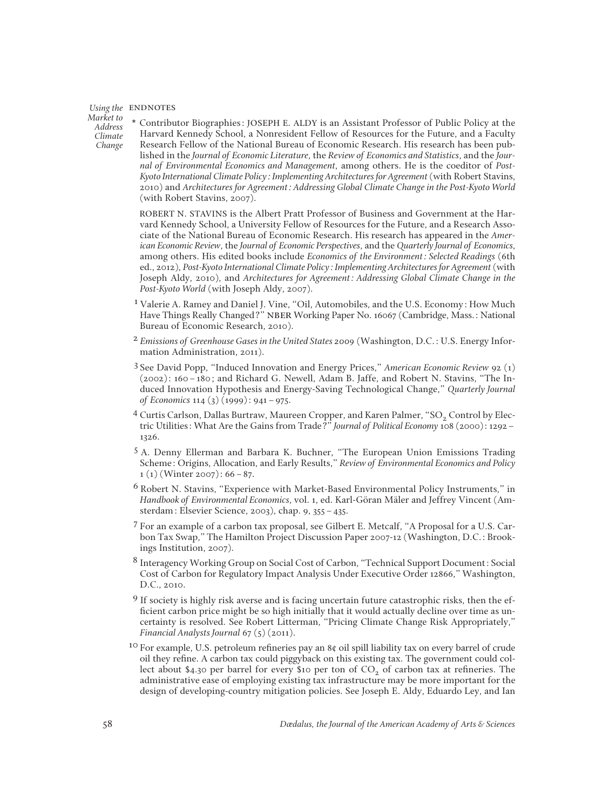## Using the **ENDNOTES**

*Market to Address Climate Change*

\* Contributor Biographies: JOSEPH E. ALDY is an Assistant Professor of Public Policy at the Harvard Kennedy School, a Nonresident Fellow of Resources for the Future, and a Faculty Research Fellow of the National Bureau of Economic Research. His research has been published in the *Journal of Economic Literature*, the *Review of Economics and Statistics*, and the *Journal of Environmental Economics and Management*, among others. He is the coeditor of *Post-Kyoto International Climate Policy: Implementing Architectures for Agreement* (with Robert Stavins, 2010) and *Architectures for Agreement: Addressing Global Climate Change in the Post-Kyoto World* (with Robert Stavins, 2007).

ROBERT N. STAVINS is the Albert Pratt Professor of Business and Government at the Harvard Kennedy School, a University Fellow of Resources for the Future, and a Research Associate of the National Bureau of Economic Research. His research has appeared in the *American Economic Review*, the *Journal of Economic Perspectives*, and the *Quarterly Journal of Economics*, among others. His edited books include *Economics of the Environment: Selected Readings* (6th ed., 2012), *Post-Kyoto International Climate Policy: Implementing Architectures for Agreement* (with Joseph Aldy, 2010), and *Architectures for Agreement: Addressing Global Climate Change in the Post-Kyoto World* (with Joseph Aldy, 2007).

- <sup>1</sup> Valerie A. Ramey and Daniel J. Vine, "Oil, Automobiles, and the U.S. Economy: How Much Have Things Really Changed?" NBER Working Paper No. 16067 (Cambridge, Mass.: National Bureau of Economic Research, 2010).
- 2 *Emissions of Greenhouse Gases in the United States 2009* (Washington, D.C.: U.S. Energy Information Administration, 2011).
- 3 See David Popp, "Induced Innovation and Energy Prices," *American Economic Review* 92 (1) (2002): 160–180; and Richard G. Newell, Adam B. Jaffe, and Robert N. Stavins, "The Induced Innovation Hypothesis and Energy-Saving Technological Change," *Quarterly Journal of Economics* 114 (3) (1999): 941–975.
- 4 Curtis Carlson, Dallas Burtraw, Maureen Cropper, and Karen Palmer, "SO<sub>2</sub> Control by Electric Utilities: What Are the Gains from Trade?" *Journal of Political Economy* 108 (2000): 1292– 1326.
- 5 A. Denny Ellerman and Barbara K. Buchner, "The European Union Emissions Trading Scheme: Origins, Allocation, and Early Results," *Review of Environmental Economics and Policy*  $1(1)$  (Winter 2007): 66 – 87.
- 6 Robert N. Stavins, "Experience with Market-Based Environmental Policy Instruments," in *Handbook of Environmental Economics*, vol. 1, ed. Karl-Göran Mäler and Jeffrey Vincent (Amsterdam: Elsevier Science, 2003), chap. 9, 355–435.
- 7 For an example of a carbon tax proposal, see Gilbert E. Metcalf, "A Proposal for a U.S. Carbon Tax Swap," The Hamilton Project Discussion Paper 2007-12 (Washington, D.C.: Brookings Institution, 2007).
- 8 Interagency Working Group on Social Cost of Carbon, "Technical Support Document: Social Cost of Carbon for Regulatory Impact Analysis Under Executive Order 12866," Washington, D.C., 2010.
- 9 If society is highly risk averse and is facing uncertain future catastrophic risks, then the ef ficient carbon price might be so high initially that it would actually decline over time as uncertainty is resolved. See Robert Litterman, "Pricing Climate Change Risk Appropriately," *Financial Analysts Journal* 67 (5) (2011).
- <sup>10</sup> For example, U.S. petroleum refineries pay an 8¢ oil spill liability tax on every barrel of crude oil they refine. A carbon tax could piggyback on this existing tax. The government could collect about \$4.30 per barrel for every \$10 per ton of  $CO<sub>2</sub>$  of carbon tax at refineries. The administrative ease of employing existing tax infrastructure may be more important for the design of developing-country mitigation policies. See Joseph E. Aldy, Eduardo Ley, and Ian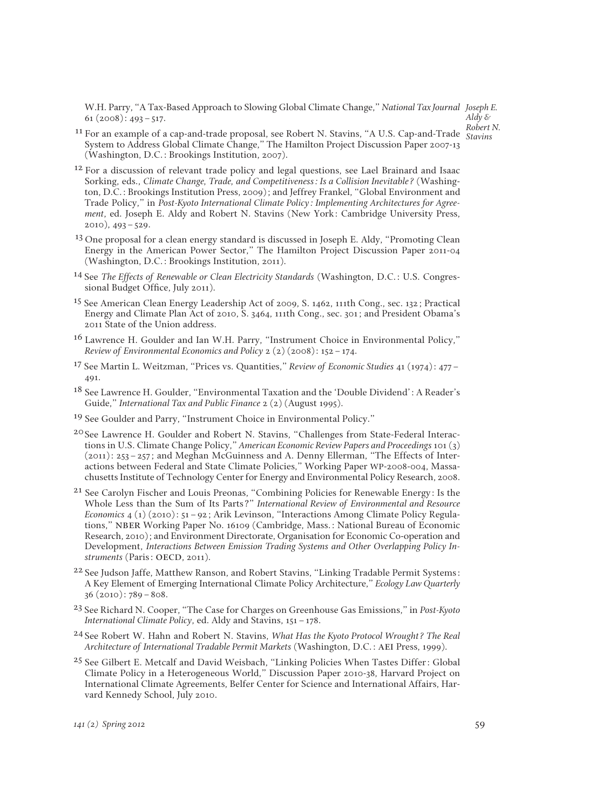*Joseph E.*  W.H. Parry, "A Tax-Based Approach to Slowing Global Climate Change," *National Tax Journal Aldy &*   $61 (2008): 493 - 517.$ 

- *Robert N.*  <sup>11</sup> For an example of a cap-and-trade proposal, see Robert N. Stavins, "A U.S. Cap-and-Trade *Robert* System to Address Global Climate Change," The Hamilton Project Discussion Paper 2007-13 (Washington, D.C.: Brookings Institution, 2007).
- $12$  For a discussion of relevant trade policy and legal questions, see Lael Brainard and Isaac Sorking, eds., *Climate Change, Trade, and Competitiveness: Is a Collision Inevitable?* (Washington, D.C.: Brookings Institution Press, 2009); and Jeffrey Frankel, "Global Environment and Trade Policy," in *Post-Kyoto International Climate Policy: Implementing Architectures for Agreement*, ed. Joseph E. Aldy and Robert N. Stavins (New York: Cambridge University Press,  $2010$ ),  $493 - 529$ .
- 13 One proposal for a clean energy standard is discussed in Joseph E. Aldy, "Promoting Clean Energy in the American Power Sector," The Hamilton Project Discussion Paper 2011-04 (Washington, D.C.: Brookings Institution, 2011).
- 14 See *The Effects of Renewable or Clean Electricity Standards* (Washington, D.C.: U.S. Congressional Budget Office, July 2011).
- 15 See American Clean Energy Leadership Act of 2009, S. 1462, 111th Cong., sec. 132; Practical Energy and Climate Plan Act of 2010, S. 3464, 111th Cong., sec. 301; and President Obama's 2011 State of the Union address.
- 16 Lawrence H. Goulder and Ian W.H. Parry, "Instrument Choice in Environmental Policy," *Review of Environmental Economics and Policy* 2 (2) (2008): 152–174.
- 17 See Martin L. Weitzman, "Prices vs. Quantities," *Review of Economic Studies* 41 (1974): 477– 491.
- 18 See Lawrence H. Goulder, "Environmental Taxation and the 'Double Dividend': A Reader's Guide," *International Tax and Public Finance* 2 (2) (August 1995).
- 19 See Goulder and Parry, "Instrument Choice in Environmental Policy."
- 20See Lawrence H. Goulder and Robert N. Stavins, "Challenges from State-Federal Interactions in U.S. Climate Change Policy," *American Economic Review Papers and Proceedings* 101 (3) (2011): 253–257; and Meghan McGuinness and A. Denny Ellerman, "The Effects of Interactions between Federal and State Climate Policies," Working Paper WP-2008-004, Massachusetts Institute of Technology Center for Energy and Environmental Policy Research, 2008.
- 21 See Carolyn Fischer and Louis Preonas, "Combining Policies for Renewable Energy: Is the Whole Less than the Sum of Its Parts?" *International Review of Environmental and Resource Economics* 4 (1) (2010): 51–92; Arik Levinson, "Interactions Among Climate Policy Regulations," NBER Working Paper No. 16109 (Cambridge, Mass.: National Bureau of Economic Research, 2010); and Environment Directorate, Organisation for Economic Co-operation and Development, *Interactions Between Emission Trading Systems and Other Overlapping Policy In*struments (Paris: OECD, 2011).
- 22 See Judson Jaffe, Matthew Ranson, and Robert Stavins, "Linking Tradable Permit Systems: A Key Element of Emerging International Climate Policy Architecture," *Ecology Law Quarterly*  $36(2010): 789 - 808.$
- 23 See Richard N. Cooper, "The Case for Charges on Greenhouse Gas Emissions," in *Post-Kyoto International Climate Policy*, ed. Aldy and Stavins, 151–178.
- 24 See Robert W. Hahn and Robert N. Stavins, *What Has the Kyoto Protocol Wrought? The Real Architecture of International Tradable Permit Markets* (Washington, D.C.: aei Press, 1999).
- 25 See Gilbert E. Metcalf and David Weisbach, "Linking Policies When Tastes Differ: Global Climate Policy in a Heterogeneous World," Discussion Paper 2010-38, Harvard Project on International Climate Agreements, Belfer Center for Science and International Affairs, Harvard Kennedy School, July 2010.